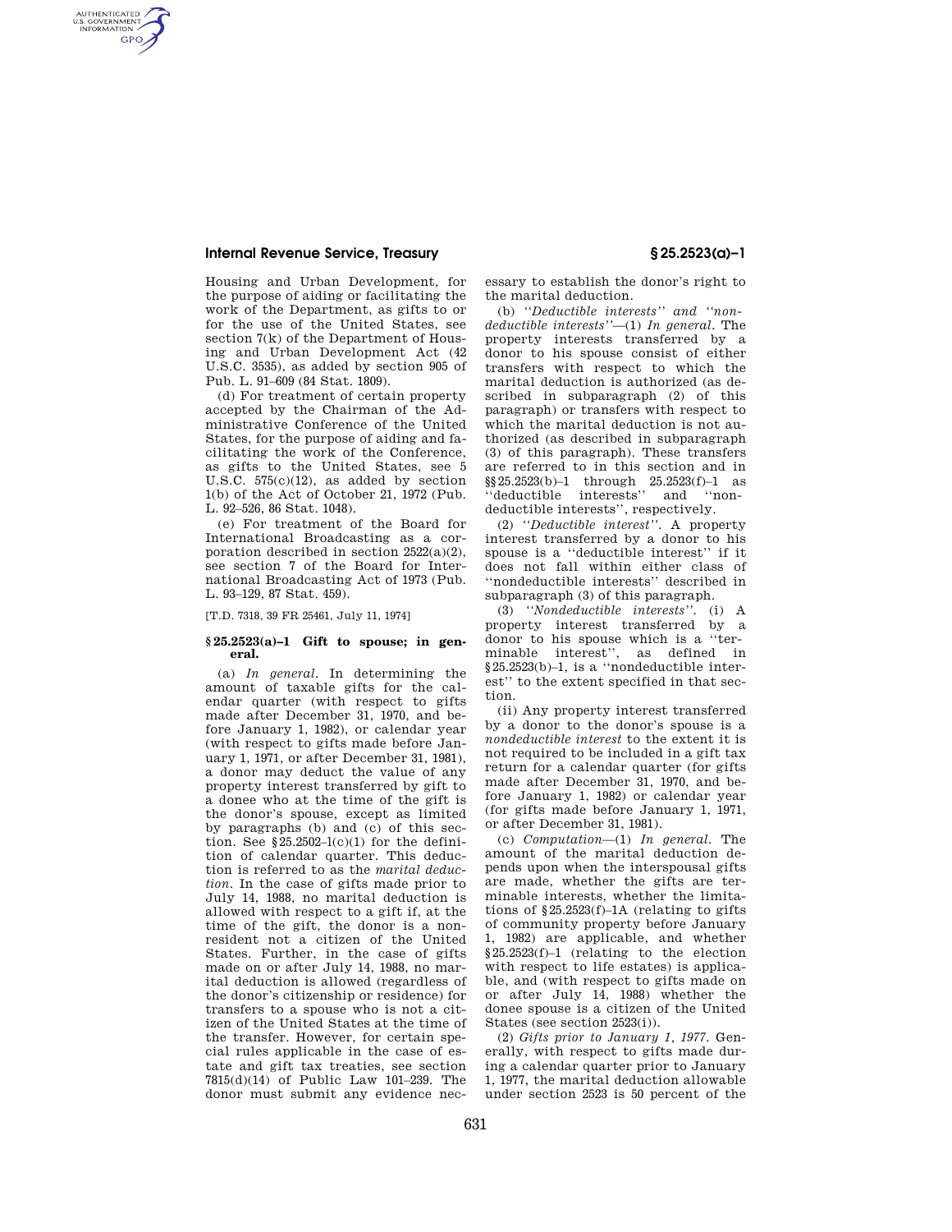## **Internal Revenue Service, Treasury § 25.2523(a)–1**

AUTHENTICATED<br>U.S. GOVERNMENT<br>INFORMATION **GPO** 

> Housing and Urban Development, for the purpose of aiding or facilitating the work of the Department, as gifts to or for the use of the United States, see section 7(k) of the Department of Housing and Urban Development Act (42 U.S.C. 3535), as added by section 905 of Pub. L. 91–609 (84 Stat. 1809).

> (d) For treatment of certain property accepted by the Chairman of the Administrative Conference of the United States, for the purpose of aiding and facilitating the work of the Conference, as gifts to the United States, see 5 U.S.C.  $575(c)(12)$ , as added by section 1(b) of the Act of October 21, 1972 (Pub. L. 92–526, 86 Stat. 1048).

> (e) For treatment of the Board for International Broadcasting as a corporation described in section 2522(a)(2), see section 7 of the Board for International Broadcasting Act of 1973 (Pub. L. 93–129, 87 Stat. 459).

[T.D. 7318, 39 FR 25461, July 11, 1974]

### **§ 25.2523(a)–1 Gift to spouse; in general.**

(a) *In general.* In determining the amount of taxable gifts for the calendar quarter (with respect to gifts made after December 31, 1970, and before January 1, 1982), or calendar year (with respect to gifts made before January 1, 1971, or after December 31, 1981), a donor may deduct the value of any property interest transferred by gift to a donee who at the time of the gift is the donor's spouse, except as limited by paragraphs (b) and (c) of this section. See §25.2502– $l(c)(1)$  for the definition of calendar quarter. This deduction is referred to as the *marital deduction.* In the case of gifts made prior to July 14, 1988, no marital deduction is allowed with respect to a gift if, at the time of the gift, the donor is a nonresident not a citizen of the United States. Further, in the case of gifts made on or after July 14, 1988, no marital deduction is allowed (regardless of the donor's citizenship or residence) for transfers to a spouse who is not a citizen of the United States at the time of the transfer. However, for certain special rules applicable in the case of estate and gift tax treaties, see section 7815(d)(14) of Public Law 101–239. The donor must submit any evidence necessary to establish the donor's right to the marital deduction.

(b) *''Deductible interests'' and ''nondeductible interests''*—(1) *In general.* The property interests transferred by a donor to his spouse consist of either transfers with respect to which the marital deduction is authorized (as described in subparagraph (2) of this paragraph) or transfers with respect to which the marital deduction is not authorized (as described in subparagraph (3) of this paragraph). These transfers are referred to in this section and in  $\S$ §25.2523(b)-1 through 25.2523(f)-1 as<br>"deductible interests" and "non-"deductible interests" and deductible interests'', respectively.

(2) *''Deductible interest''.* A property interest transferred by a donor to his spouse is a ''deductible interest'' if it does not fall within either class of ''nondeductible interests'' described in subparagraph (3) of this paragraph.

(3) *''Nondeductible interests''.* (i) A property interest transferred by a donor to his spouse which is a ''terminable interest'', as defined in §25.2523(b)–1, is a ''nondeductible interest'' to the extent specified in that section.

(ii) Any property interest transferred by a donor to the donor's spouse is a *nondeductible interest* to the extent it is not required to be included in a gift tax return for a calendar quarter (for gifts made after December 31, 1970, and before January 1, 1982) or calendar year (for gifts made before January 1, 1971, or after December 31, 1981).

(c) *Computation*—(1) *In general.* The amount of the marital deduction depends upon when the interspousal gifts are made, whether the gifts are terminable interests, whether the limitations of  $\S 25.2523(f)-1A$  (relating to gifts of community property before January 1, 1982) are applicable, and whether §25.2523(f)–1 (relating to the election with respect to life estates) is applicable, and (with respect to gifts made on or after July 14, 1988) whether the donee spouse is a citizen of the United States (see section 2523(i)).

(2) *Gifts prior to January 1, 1977.* Generally, with respect to gifts made during a calendar quarter prior to January 1, 1977, the marital deduction allowable under section 2523 is 50 percent of the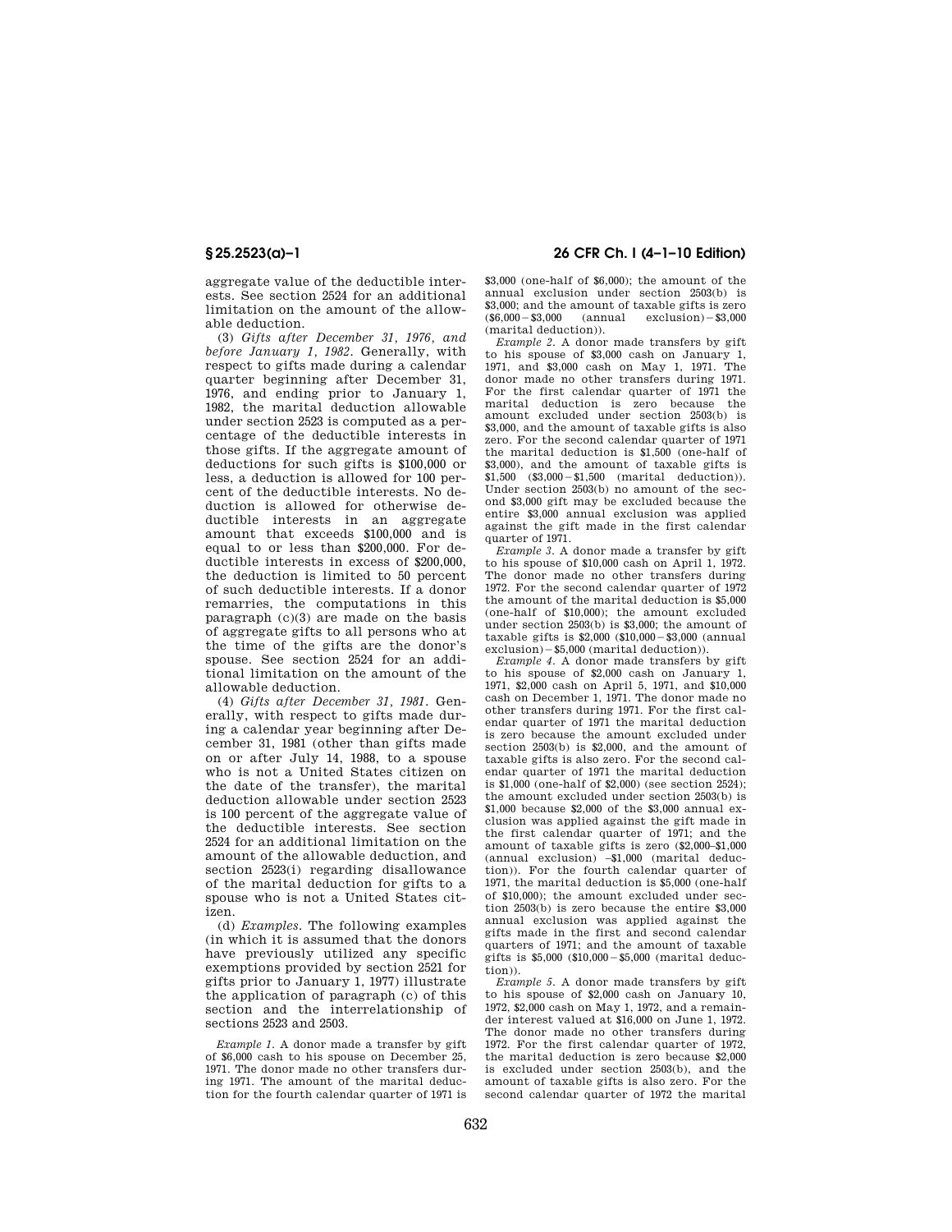aggregate value of the deductible interests. See section 2524 for an additional limitation on the amount of the allowable deduction.

(3) *Gifts after December 31, 1976, and before January 1, 1982.* Generally, with respect to gifts made during a calendar quarter beginning after December 31, 1976, and ending prior to January 1, 1982, the marital deduction allowable under section 2523 is computed as a percentage of the deductible interests in those gifts. If the aggregate amount of deductions for such gifts is \$100,000 or less, a deduction is allowed for 100 percent of the deductible interests. No deduction is allowed for otherwise deductible interests in an aggregate amount that exceeds \$100,000 and is equal to or less than \$200,000. For deductible interests in excess of \$200,000, the deduction is limited to 50 percent of such deductible interests. If a donor remarries, the computations in this paragraph (c)(3) are made on the basis of aggregate gifts to all persons who at the time of the gifts are the donor's spouse. See section 2524 for an additional limitation on the amount of the allowable deduction.

(4) *Gifts after December 31, 1981.* Generally, with respect to gifts made during a calendar year beginning after December 31, 1981 (other than gifts made on or after July 14, 1988, to a spouse who is not a United States citizen on the date of the transfer), the marital deduction allowable under section 2523 is 100 percent of the aggregate value of the deductible interests. See section 2524 for an additional limitation on the amount of the allowable deduction, and section 2523(i) regarding disallowance of the marital deduction for gifts to a spouse who is not a United States citizen.

(d) *Examples.* The following examples (in which it is assumed that the donors have previously utilized any specific exemptions provided by section 2521 for gifts prior to January 1, 1977) illustrate the application of paragraph (c) of this section and the interrelationship of sections 2523 and 2503.

*Example 1.* A donor made a transfer by gift of \$6,000 cash to his spouse on December 25, 1971. The donor made no other transfers during 1971. The amount of the marital deduction for the fourth calendar quarter of 1971 is

# **§ 25.2523(a)–1 26 CFR Ch. I (4–1–10 Edition)**

\$3,000 (one-half of \$6,000); the amount of the annual exclusion under section 2503(b) is \$3,000; and the amount of taxable gifts is zero  $($6,000 - $3,000$  (annual exclusion)  $$3,000$ (marital deduction)).

*Example 2.* A donor made transfers by gift to his spouse of \$3,000 cash on January 1, 1971, and \$3,000 cash on May 1, 1971. The donor made no other transfers during 1971. For the first calendar quarter of 1971 the marital deduction is zero because the amount excluded under section 2503(b) is \$3,000, and the amount of taxable gifts is also zero. For the second calendar quarter of 1971 the marital deduction is \$1,500 (one-half of \$3,000), and the amount of taxable gifts is  $$1,500$   $$3,000 - $1,500$   $(marital \quad deduction)$ ). Under section 2503(b) no amount of the second \$3,000 gift may be excluded because the entire \$3,000 annual exclusion was applied against the gift made in the first calendar quarter of 1971.

*Example 3.* A donor made a transfer by gift to his spouse of \$10,000 cash on April 1, 1972. The donor made no other transfers during 1972. For the second calendar quarter of 1972 the amount of the marital deduction is \$5,000 (one-half of \$10,000); the amount excluded under section 2503(b) is \$3,000; the amount of taxable gifts is  $$2,000$   $$10,000 - $3,000$  (annual  $exclusion) - $5,000$  (marital deduction)).

*Example 4.* A donor made transfers by gift to his spouse of \$2,000 cash on January 1, 1971, \$2,000 cash on April 5, 1971, and \$10,000 cash on December 1, 1971. The donor made no other transfers during 1971. For the first calendar quarter of 1971 the marital deduction is zero because the amount excluded under section 2503(b) is \$2,000, and the amount of taxable gifts is also zero. For the second calendar quarter of 1971 the marital deduction is \$1,000 (one-half of \$2,000) (see section 2524); the amount excluded under section 2503(b) is \$1,000 because \$2,000 of the \$3,000 annual exclusion was applied against the gift made in the first calendar quarter of 1971; and the amount of taxable gifts is zero (\$2,000–\$1,000 (annual exclusion) –\$1,000 (marital deduction)). For the fourth calendar quarter of 1971, the marital deduction is \$5,000 (one-half of \$10,000); the amount excluded under section 2503(b) is zero because the entire \$3,000 annual exclusion was applied against the gifts made in the first and second calendar quarters of 1971; and the amount of taxable gifts is  $$5,000$   $$10,000 - $5,000$  (marital deduction)).

*Example 5.* A donor made transfers by gift to his spouse of \$2,000 cash on January 10, 1972, \$2,000 cash on May 1, 1972, and a remainder interest valued at \$16,000 on June 1, 1972. The donor made no other transfers during 1972. For the first calendar quarter of 1972, the marital deduction is zero because \$2,000 is excluded under section 2503(b), and the amount of taxable gifts is also zero. For the second calendar quarter of 1972 the marital